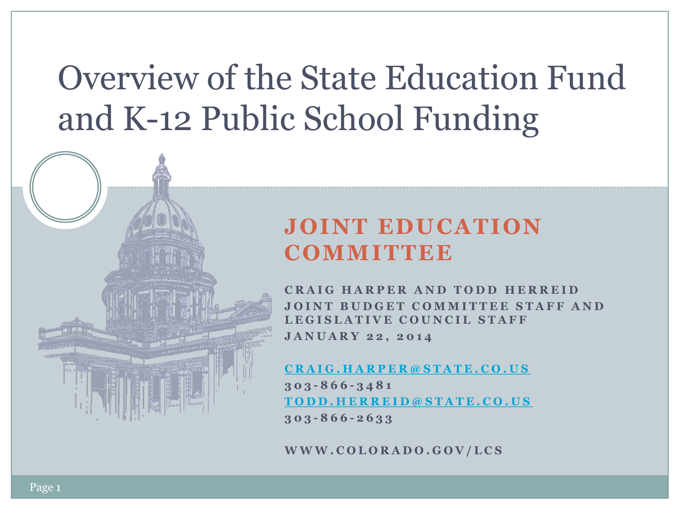## Overview of the State Education Fund and K-12 Public School Funding

### **JOINT EDUCATION COMMITTEE**

**CRAIG HARPER AND TODD HERREID JOINT BUDGET COMMITTEE STAFF AND L E G I S L A T I V E C O U N C I L S T A F F J A N U A R Y 2 2 , 2 0 1 4**

**[C R A I G . H A R P E R @ S T A T E . C O . U S](mailto:Cragi.harper@state.co.us) 3 0 3 - 8 6 6 - 3 4 8 1 [T O D D . H E R R E I D @ S T A T E . C O . U S](mailto:Todd.Herreid@state.co.us) 3 0 3 - 8 6 6 - 2 6 3 3**

**W W W . C O L O R A D O . G O V / L C S**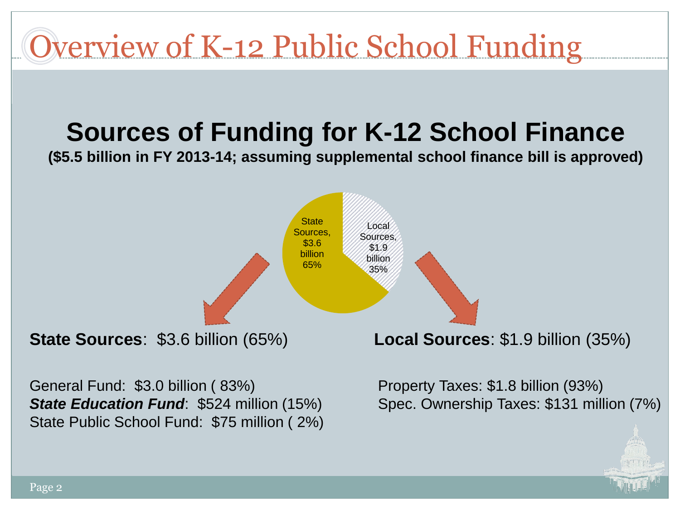

Page 2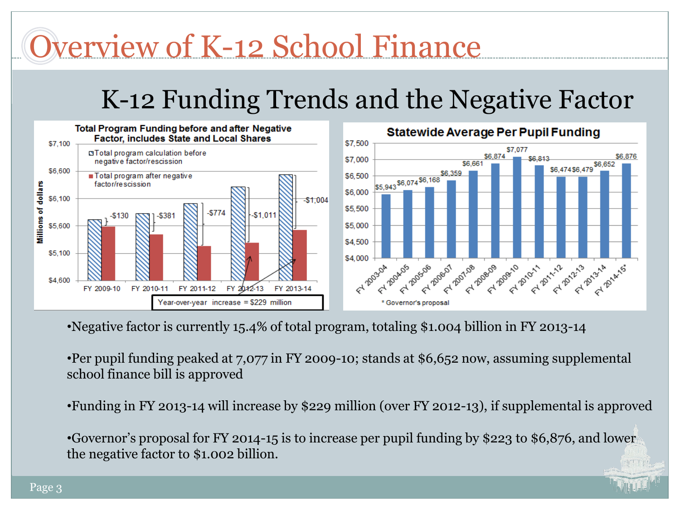## Overview of K-12 School Finance

## K-12 Funding Trends and the Negative Factor



•Negative factor is currently 15.4% of total program, totaling \$1.004 billion in FY 2013-14

•Per pupil funding peaked at 7,077 in FY 2009-10; stands at \$6,652 now, assuming supplemental school finance bill is approved

•Funding in FY 2013-14 will increase by \$229 million (over FY 2012-13), if supplemental is approved

•Governor's proposal for FY 2014-15 is to increase per pupil funding by \$223 to \$6,876, and lower the negative factor to \$1.002 billion.

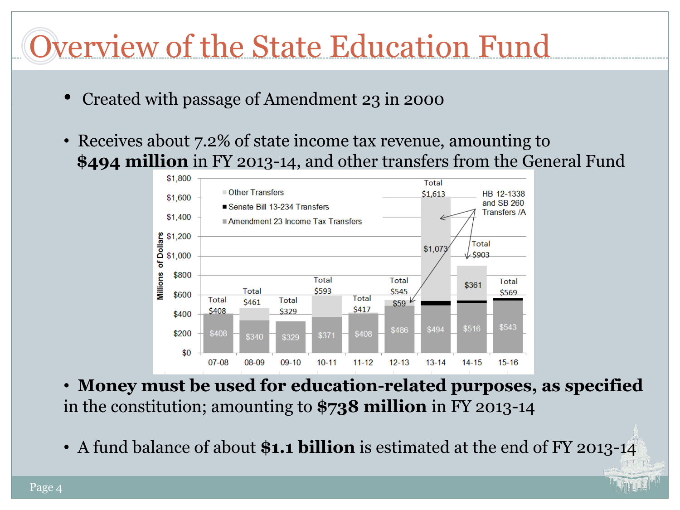# Overview of the State Education Fund

- Created with passage of Amendment 23 in 2000
- Receives about 7.2% of state income tax revenue, amounting to  **\$494 million** in FY 2013-14, and other transfers from the General Fund



- **Money must be used for education-related purposes, as specified**  in the constitution; amounting to **\$738 million** in FY 2013-14
- A fund balance of about **\$1.1 billion** is estimated at the end of FY 2013-14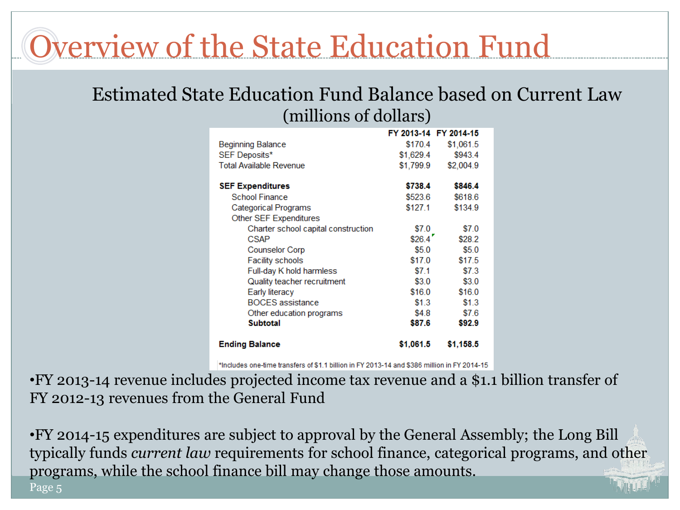## Overview of the State Education Fund

#### Estimated State Education Fund Balance based on Current Law (millions of dollars)

|                                     |           | FY 2013-14 FY 2014-15 |
|-------------------------------------|-----------|-----------------------|
| <b>Beginning Balance</b>            | \$170.4   | \$1,061.5             |
| SEF Deposits*                       | \$1,629.4 | \$943.4               |
| <b>Total Available Revenue</b>      | \$1,799.9 | \$2,004.9             |
|                                     |           |                       |
| <b>SEF Expenditures</b>             | \$738.4   | \$846.4               |
| <b>School Finance</b>               | \$523.6   | \$618.6               |
| Categorical Programs                | \$127.1   | \$134.9               |
| Other SEF Expenditures              |           |                       |
| Charter school capital construction | \$7.0     | \$7.0                 |
| <b>CSAP</b>                         | \$26.4    | \$28.2                |
| <b>Counselor Corp</b>               | \$5.0     | \$5.0                 |
| Facility schools                    | \$17.0    | \$17.5                |
| Full-day K hold harmless            | \$7.1     | \$7.3                 |
| Quality teacher recruitment         | \$3.0     | \$3.0                 |
| Early literacy                      | \$16.0    | \$16.0                |
| <b>BOCES</b> assistance             | \$1.3     | \$1.3                 |
| Other education programs            | \$4.8     | \$7.6                 |
| <b>Subtotal</b>                     | \$87.6    | \$92.9                |
| <b>Ending Balance</b>               | \$1,061.5 | \$1,158.5             |

\*Includes one-time transfers of \$1.1 billion in FY 2013-14 and \$386 million in FY 2014-15

•FY 2013-14 revenue includes projected income tax revenue and a \$1.1 billion transfer of FY 2012-13 revenues from the General Fund

•FY 2014-15 expenditures are subject to approval by the General Assembly; the Long Bill typically funds *current law* requirements for school finance, categorical programs, and other programs, while the school finance bill may change those amounts. Page 5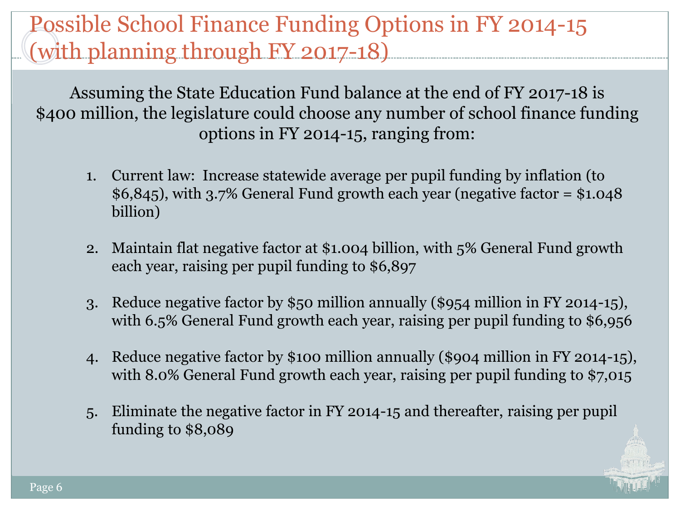Assuming the State Education Fund balance at the end of FY 2017-18 is \$400 million, the legislature could choose any number of school finance funding options in FY 2014-15, ranging from:

- 1. Current law: Increase statewide average per pupil funding by inflation (to  $$6,845$ , with 3.7% General Fund growth each year (negative factor =  $$1.048$ ) billion)
- 2. Maintain flat negative factor at \$1.004 billion, with 5% General Fund growth each year, raising per pupil funding to \$6,897
- 3. Reduce negative factor by \$50 million annually (\$954 million in FY 2014-15), with 6.5% General Fund growth each year, raising per pupil funding to \$6,956
- 4. Reduce negative factor by \$100 million annually (\$904 million in FY 2014-15), with 8.0% General Fund growth each year, raising per pupil funding to \$7,015
- 5. Eliminate the negative factor in FY 2014-15 and thereafter, raising per pupil funding to \$8,089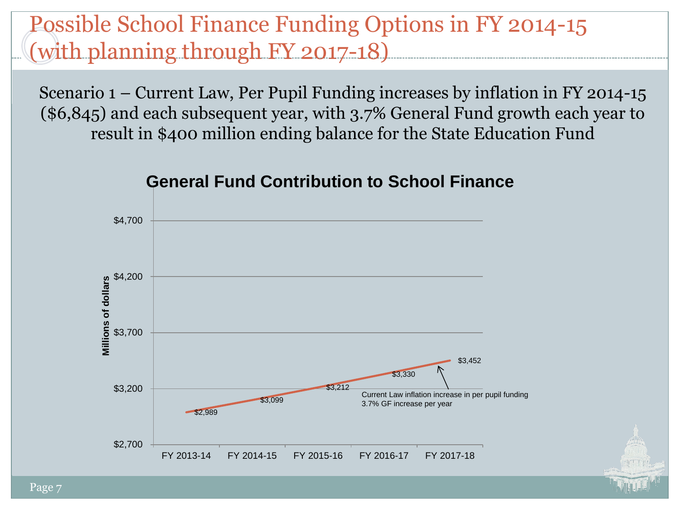Scenario 1 – Current Law, Per Pupil Funding increases by inflation in FY 2014-15 (\$6,845) and each subsequent year, with 3.7% General Fund growth each year to result in \$400 million ending balance for the State Education Fund



#### **General Fund Contribution to School Finance**

Page 7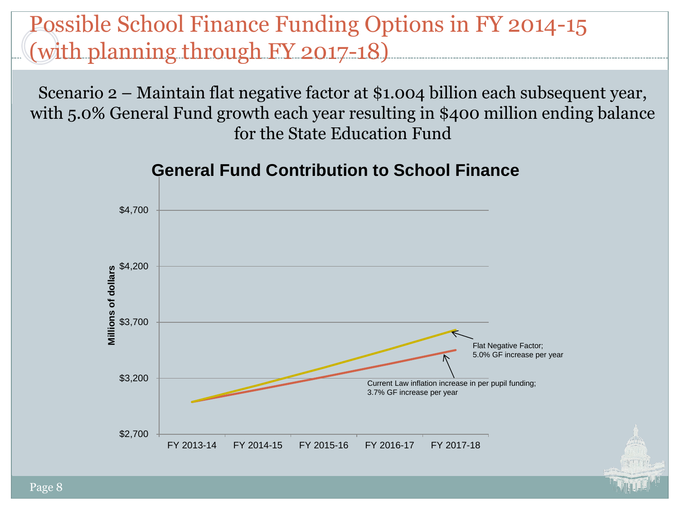Scenario 2 – Maintain flat negative factor at \$1.004 billion each subsequent year, with 5.0% General Fund growth each year resulting in \$400 million ending balance for the State Education Fund



#### **General Fund Contribution to School Finance**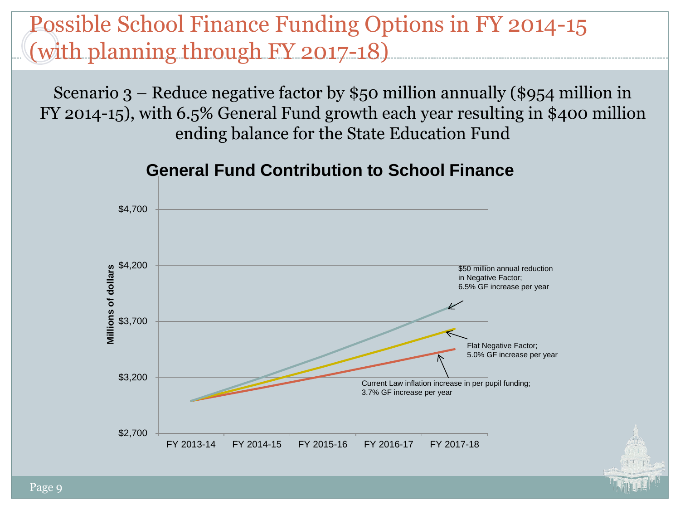Scenario 3 – Reduce negative factor by \$50 million annually (\$954 million in FY 2014-15), with 6.5% General Fund growth each year resulting in \$400 million ending balance for the State Education Fund



#### **General Fund Contribution to School Finance**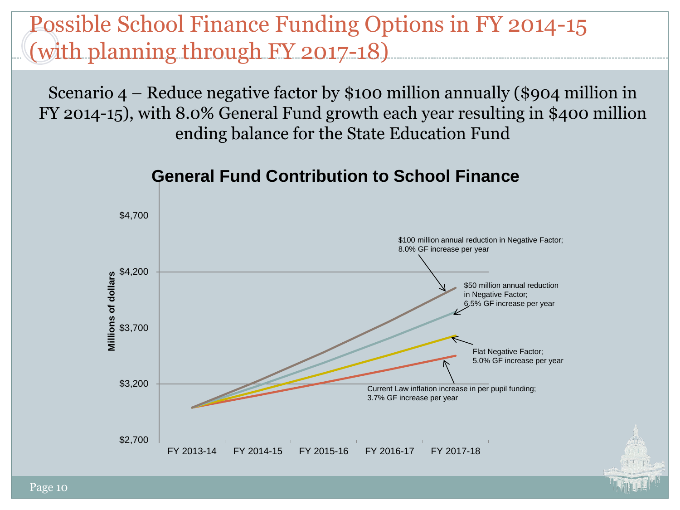Scenario 4 – Reduce negative factor by \$100 million annually (\$904 million in FY 2014-15), with 8.0% General Fund growth each year resulting in \$400 million ending balance for the State Education Fund



#### **General Fund Contribution to School Finance**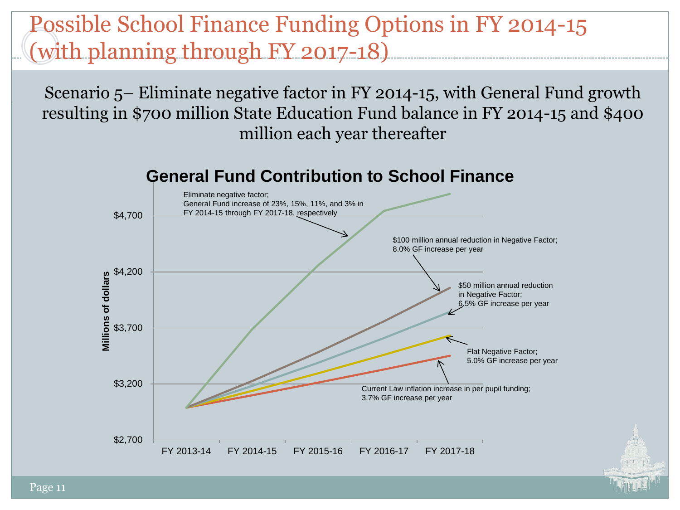Scenario 5– Eliminate negative factor in FY 2014-15, with General Fund growth resulting in \$700 million State Education Fund balance in FY 2014-15 and \$400 million each year thereafter